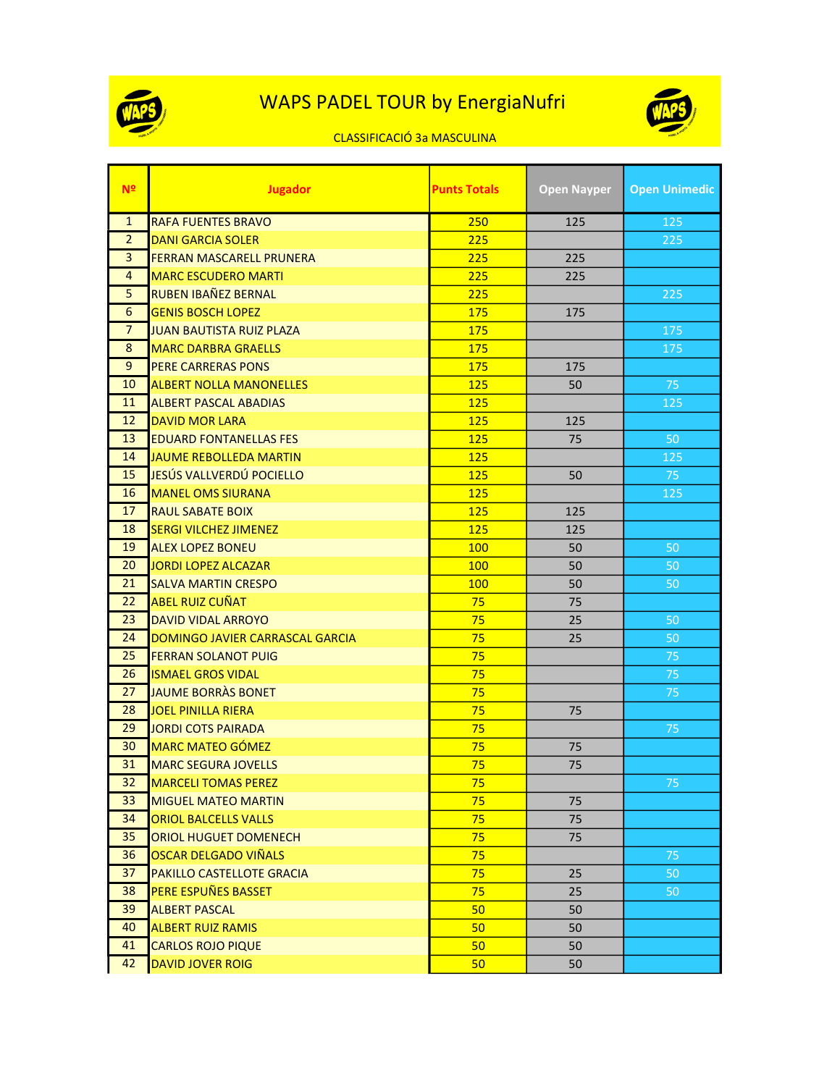

## WAPS PADEL TOUR by EnergiaNufri



## CLASSIFICACIÓ 3a MASCULINA

| Nº             | <b>Jugador</b>                  | <b>Punts Totals</b> | <b>Open Nayper</b> | <b>Open Unimedic</b> |
|----------------|---------------------------------|---------------------|--------------------|----------------------|
| $\mathbf{1}$   | <b>RAFA FUENTES BRAVO</b>       | 250                 | 125                | 125                  |
| $\overline{2}$ | <b>DANI GARCIA SOLER</b>        | 225                 |                    | 225                  |
| 3              | FERRAN MASCARELL PRUNERA        | 225                 | 225                |                      |
| 4              | <b>MARC ESCUDERO MARTI</b>      | 225                 | 225                |                      |
| 5              | <b>RUBEN IBAÑEZ BERNAL</b>      | 225                 |                    | 225                  |
| 6              | <b>GENIS BOSCH LOPEZ</b>        | 175                 | 175                |                      |
| $\overline{7}$ | <b>JUAN BAUTISTA RUIZ PLAZA</b> | 175                 |                    | 175                  |
| 8              | <b>MARC DARBRA GRAELLS</b>      | 175                 |                    | 175                  |
| 9              | <b>PERE CARRERAS PONS</b>       | 175                 | 175                |                      |
| 10             | <b>ALBERT NOLLA MANONELLES</b>  | 125                 | 50                 | 75                   |
| 11             | <b>ALBERT PASCAL ABADIAS</b>    | 125                 |                    | 125                  |
| 12             | <b>DAVID MOR LARA</b>           | 125                 | 125                |                      |
| 13             | <b>EDUARD FONTANELLAS FES</b>   | 125                 | 75                 | 50                   |
| 14             | <b>JAUME REBOLLEDA MARTIN</b>   | 125                 |                    | 125                  |
| 15             | JESÚS VALLVERDÚ POCIELLO        | 125                 | 50                 | 75                   |
| 16             | <b>MANEL OMS SIURANA</b>        | 125                 |                    | 125                  |
| 17             | <b>RAUL SABATE BOIX</b>         | 125                 | 125                |                      |
| 18             | <b>SERGI VILCHEZ JIMENEZ</b>    | 125                 | 125                |                      |
| 19             | <b>ALEX LOPEZ BONEU</b>         | 100                 | 50                 | 50                   |
| 20             | <b>JORDI LOPEZ ALCAZAR</b>      | 100                 | 50                 | 50                   |
| 21             | <b>SALVA MARTIN CRESPO</b>      | 100                 | 50                 | 50                   |
| 22             | <b>ABEL RUIZ CUÑAT</b>          | 75                  | 75                 |                      |
| 23             | <b>DAVID VIDAL ARROYO</b>       | 75                  | 25                 | 50                   |
| 24             | DOMINGO JAVIER CARRASCAL GARCIA | 75                  | 25                 | 50                   |
| 25             | <b>FERRAN SOLANOT PUIG</b>      | 75                  |                    | 75                   |
| 26             | <b>ISMAEL GROS VIDAL</b>        | 75                  |                    | 75                   |
| 27             | <b>JAUME BORRAS BONET</b>       | 75                  |                    | 75                   |
| 28             | <b>JOEL PINILLA RIERA</b>       | 75                  | 75                 |                      |
| 29             | <b>JORDI COTS PAIRADA</b>       | 75                  |                    | 75                   |
| 30             | <b>MARC MATEO GÓMEZ</b>         | 75                  | 75                 |                      |
| 31             | <b>MARC SEGURA JOVELLS</b>      | 75                  | 75                 |                      |
| 32             | MARCELI TOMAS PEREZ             | 75                  |                    | 75                   |
| 33             | <b>MIGUEL MATEO MARTIN</b>      | 75                  | 75                 |                      |
| 34             | <b>ORIOL BALCELLS VALLS</b>     | 75                  | 75                 |                      |
| 35             | <b>ORIOL HUGUET DOMENECH</b>    | 75                  | 75                 |                      |
| 36             | <b>OSCAR DELGADO VIÑALS</b>     | 75                  |                    | 75                   |
| 37             | PAKILLO CASTELLOTE GRACIA       | 75                  | 25                 | 50                   |
| 38             | PERE ESPUÑES BASSET             | 75                  | 25                 | 50                   |
| 39             | <b>ALBERT PASCAL</b>            | 50 <sub>2</sub>     | 50                 |                      |
| 40             | <b>ALBERT RUIZ RAMIS</b>        | 50                  | 50                 |                      |
| 41             | <b>CARLOS ROJO PIQUE</b>        | 50                  | 50                 |                      |
| 42             | <b>DAVID JOVER ROIG</b>         | 50                  | 50                 |                      |